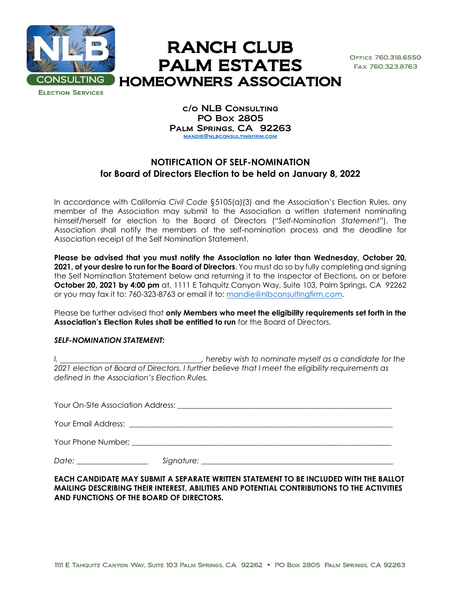

## RANCH CLUB PALM ESTATES HOMEOWNERS ASSOCIATION

OFFICE 760.318.6550 FAX 760.323.8763

**ELECTION SERVICES** 

c/o NLB Consulting PO Box 2805 Palm Springs, CA 92263 [mandie@nlbconsultingfirm.com](mailto:mandie@nlbconsultingfirm.com)

## **NOTIFICATION OF SELF-NOMINATION for Board of Directors Election to be held on January 8, 2022**

In accordance with California *Civil Code* §5105(a)(3) and the Association's Election Rules, any member of the Association may submit to the Association a written statement nominating himself/herself for election to the Board of Directors ("*Self-Nomination Statement*"). The Association shall notify the members of the self-nomination process and the deadline for Association receipt of the Self Nomination Statement.

**Please be advised that you must notify the Association no later than Wednesday, October 20, 2021, of your desire to run for the Board of Directors**. You must do so by fully completing and signing the Self Nomination Statement below and returning it to the Inspector of Elections, on or before **October 20, 2021 by 4:00 pm** at, 1111 E Tahquitz Canyon Way, Suite 103, Palm Springs, CA 92262 or you may fax it to: 760-323-8763 or email it to: [mandie@nlbconsultingfirm.com.](mailto:mandie@nlbconsultingfirm.com)

Please be further advised that **only Members who meet the eligibility requirements set forth in the Association's Election Rules shall be entitled to run** for the Board of Directors.

## *SELF-NOMINATION STATEMENT:*

*I, , hereby wish to nominate myself as a candidate for the 2021 election of Board of Directors. I further believe that I meet the eligibility requirements as defined in the Association's Election Rules.*

Your On-Site Association Address: \_\_\_\_\_\_\_\_\_\_\_\_\_\_\_\_\_\_\_\_\_\_\_\_\_\_\_\_\_\_\_\_\_\_\_\_\_\_\_\_\_\_\_\_\_\_\_\_\_\_\_\_\_\_\_\_\_ Your Email Address: \_\_\_\_\_\_\_\_\_\_\_\_\_\_\_\_\_\_\_\_\_\_\_\_\_\_\_\_\_\_\_\_\_\_\_\_\_\_\_\_\_\_\_\_\_\_\_\_\_\_\_\_\_\_\_\_\_\_\_\_\_\_\_\_\_\_\_\_\_\_ Your Phone Number:  $\Box$ 

*Date: \_\_\_\_\_\_\_\_\_\_\_\_\_\_\_\_\_\_\_ Signature: \_\_\_\_\_\_\_\_\_\_\_\_\_\_\_\_\_\_\_\_\_\_\_\_\_\_\_\_\_\_\_\_\_\_\_\_\_\_\_\_\_\_\_\_\_\_\_\_\_\_\_* 

**EACH CANDIDATE MAY SUBMIT A SEPARATE WRITTEN STATEMENT TO BE INCLUDED WITH THE BALLOT MAILING DESCRIBING THEIR INTEREST, ABILITIES AND POTENTIAL CONTRIBUTIONS TO THE ACTIVITIES AND FUNCTIONS OF THE BOARD OF DIRECTORS.**